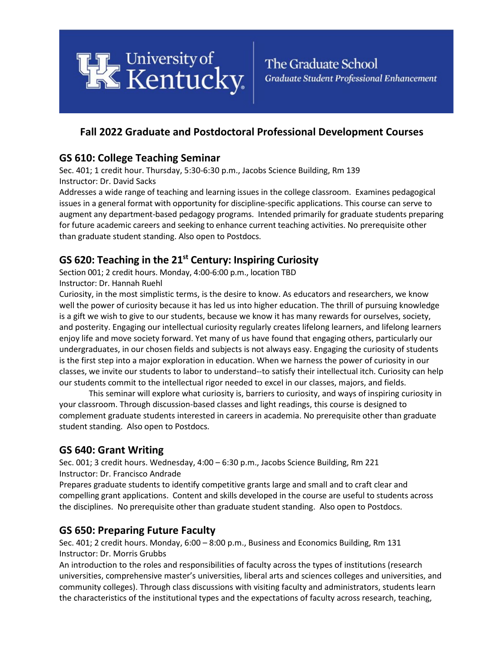

# **Fall 2022 Graduate and Postdoctoral Professional Development Courses**

## **GS 610: College Teaching Seminar**

Sec. 401; 1 credit hour. Thursday, 5:30-6:30 p.m., Jacobs Science Building, Rm 139 Instructor: Dr. David Sacks

Addresses a wide range of teaching and learning issues in the college classroom. Examines pedagogical issues in a general format with opportunity for discipline-specific applications. This course can serve to augment any department-based pedagogy programs. Intended primarily for graduate students preparing for future academic careers and seeking to enhance current teaching activities. No prerequisite other than graduate student standing. Also open to Postdocs.

## **GS 620: Teaching in the 21st Century: Inspiring Curiosity**

Section 001; 2 credit hours. Monday, 4:00-6:00 p.m., location TBD Instructor: Dr. Hannah Ruehl

Curiosity, in the most simplistic terms, is the desire to know. As educators and researchers, we know well the power of curiosity because it has led us into higher education. The thrill of pursuing knowledge is a gift we wish to give to our students, because we know it has many rewards for ourselves, society, and posterity. Engaging our intellectual curiosity regularly creates lifelong learners, and lifelong learners enjoy life and move society forward. Yet many of us have found that engaging others, particularly our undergraduates, in our chosen fields and subjects is not always easy. Engaging the curiosity of students is the first step into a major exploration in education. When we harness the power of curiosity in our classes, we invite our students to labor to understand--to satisfy their intellectual itch. Curiosity can help our students commit to the intellectual rigor needed to excel in our classes, majors, and fields.

This seminar will explore what curiosity is, barriers to curiosity, and ways of inspiring curiosity in your classroom. Through discussion-based classes and light readings, this course is designed to complement graduate students interested in careers in academia. No prerequisite other than graduate student standing. Also open to Postdocs.

### **GS 640: Grant Writing**

Sec. 001; 3 credit hours. Wednesday, 4:00 – 6:30 p.m., Jacobs Science Building, Rm 221 Instructor: Dr. Francisco Andrade

Prepares graduate students to identify competitive grants large and small and to craft clear and compelling grant applications. Content and skills developed in the course are useful to students across the disciplines. No prerequisite other than graduate student standing. Also open to Postdocs.

### **GS 650: Preparing Future Faculty**

Sec. 401; 2 credit hours. Monday, 6:00 – 8:00 p.m., Business and Economics Building, Rm 131 Instructor: Dr. Morris Grubbs

An introduction to the roles and responsibilities of faculty across the types of institutions (research universities, comprehensive master's universities, liberal arts and sciences colleges and universities, and community colleges). Through class discussions with visiting faculty and administrators, students learn the characteristics of the institutional types and the expectations of faculty across research, teaching,